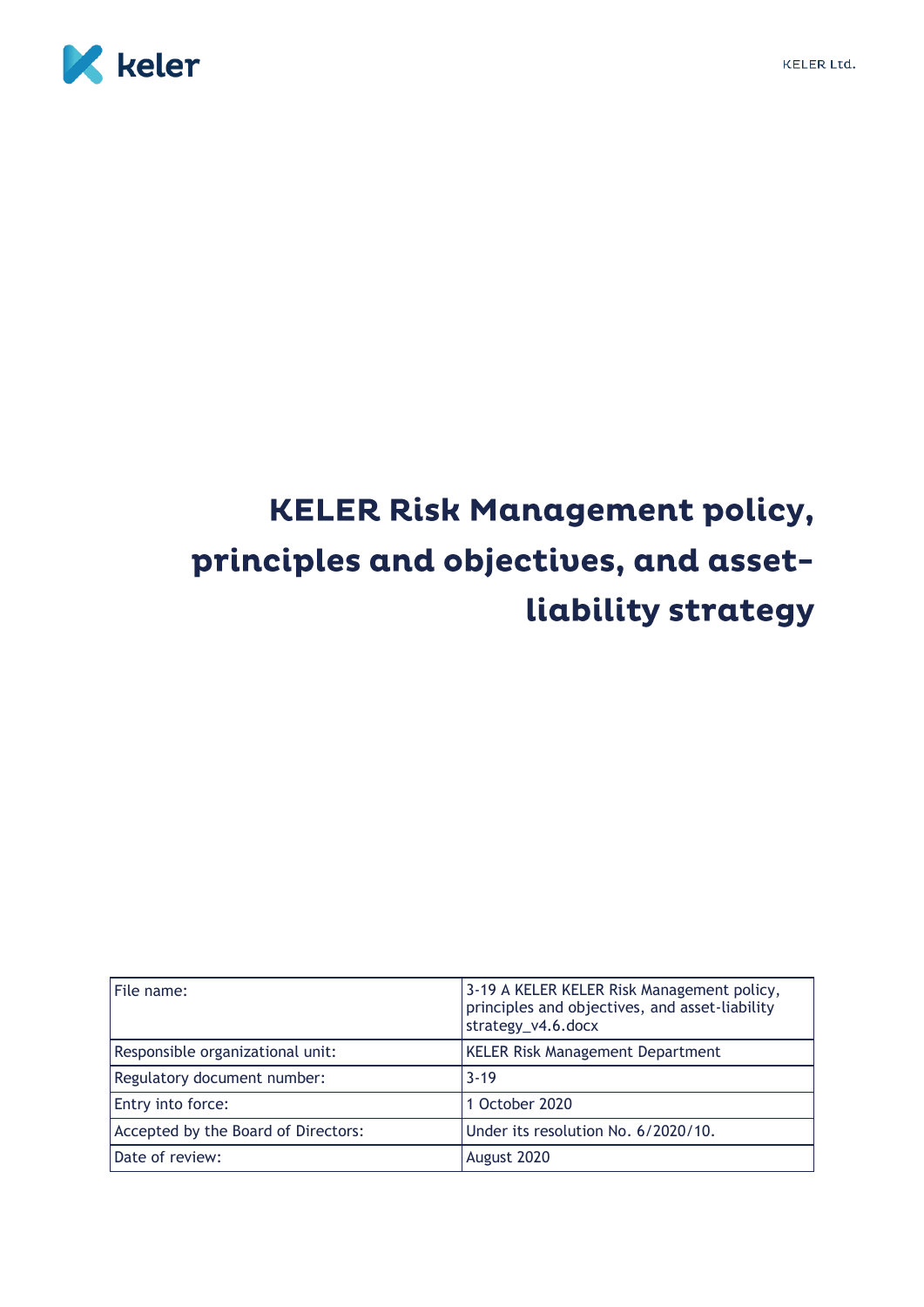



# **KELER Risk Management policy,** principles and objectives, and assetliability strategy

| File name:                          | 3-19 A KELER KELER Risk Management policy,<br>principles and objectives, and asset-liability<br>strategy_v4.6.docx |
|-------------------------------------|--------------------------------------------------------------------------------------------------------------------|
| Responsible organizational unit:    | <b>KELER Risk Management Department</b>                                                                            |
| Regulatory document number:         | $3 - 19$                                                                                                           |
| Entry into force:                   | 1 October 2020                                                                                                     |
| Accepted by the Board of Directors: | Under its resolution No. 6/2020/10.                                                                                |
| Date of review:                     | August 2020                                                                                                        |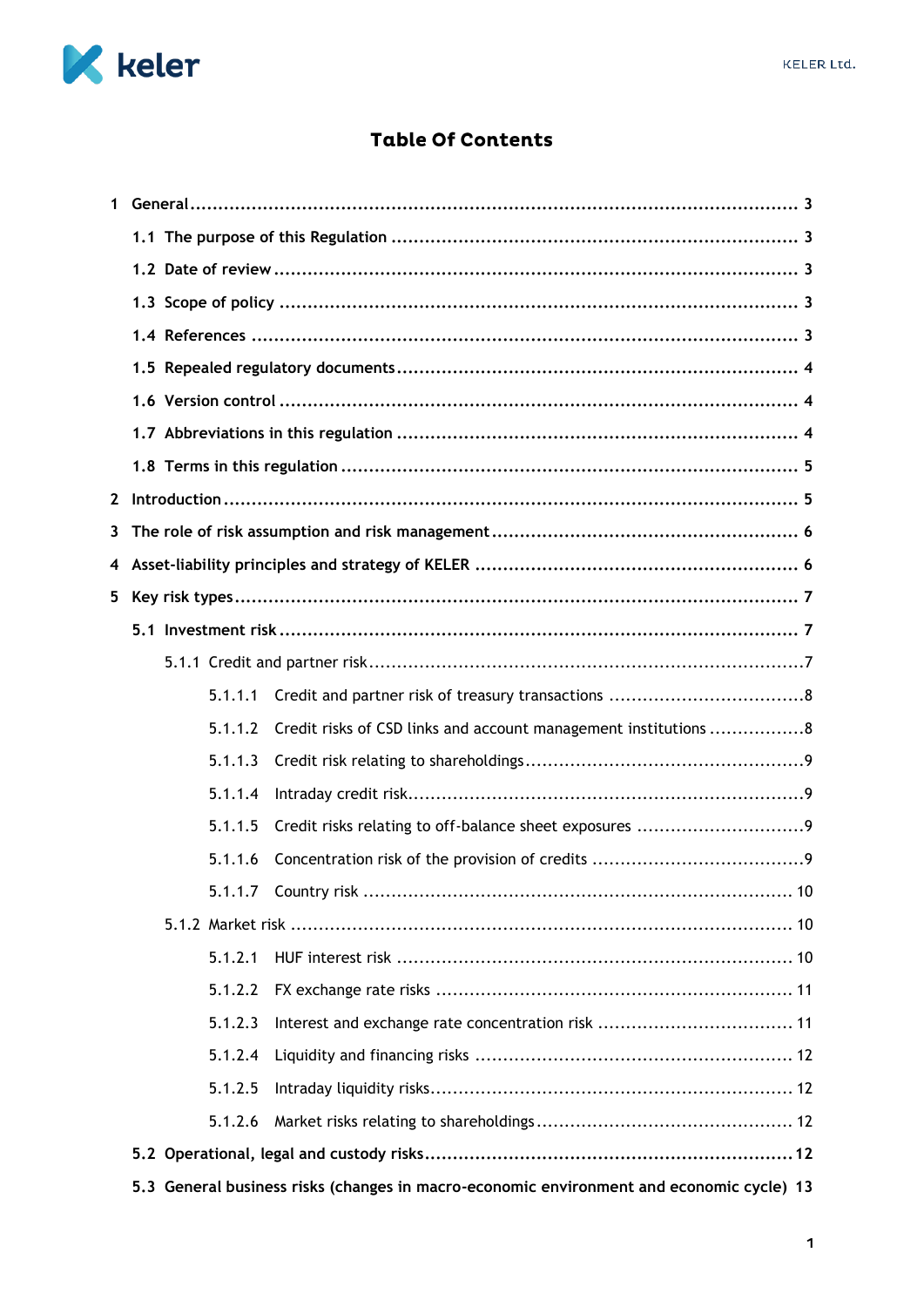

## **Table Of Contents**

| $\mathbf{1}$ |                                                                                          |  |  |
|--------------|------------------------------------------------------------------------------------------|--|--|
|              |                                                                                          |  |  |
|              |                                                                                          |  |  |
|              |                                                                                          |  |  |
|              |                                                                                          |  |  |
|              |                                                                                          |  |  |
|              |                                                                                          |  |  |
|              |                                                                                          |  |  |
|              |                                                                                          |  |  |
| $\mathbf{2}$ |                                                                                          |  |  |
| 3            |                                                                                          |  |  |
| 4            |                                                                                          |  |  |
| 5            |                                                                                          |  |  |
|              |                                                                                          |  |  |
|              |                                                                                          |  |  |
|              | 5.1.1.1                                                                                  |  |  |
|              | Credit risks of CSD links and account management institutions 8<br>5.1.1.2               |  |  |
|              | 5.1.1.3                                                                                  |  |  |
|              | 5.1.1.4                                                                                  |  |  |
|              | 5.1.1.5                                                                                  |  |  |
|              | 5.1.1.6                                                                                  |  |  |
|              | 5.1.1.7 Country risk<br>10                                                               |  |  |
|              |                                                                                          |  |  |
|              | 5.1.2.1                                                                                  |  |  |
|              | 5.1.2.2                                                                                  |  |  |
|              | 5.1.2.3                                                                                  |  |  |
|              | 5.1.2.4                                                                                  |  |  |
|              | 5.1.2.5                                                                                  |  |  |
|              | 5.1.2.6                                                                                  |  |  |
|              |                                                                                          |  |  |
|              | 5.3 General business risks (changes in macro-economic environment and economic cycle) 13 |  |  |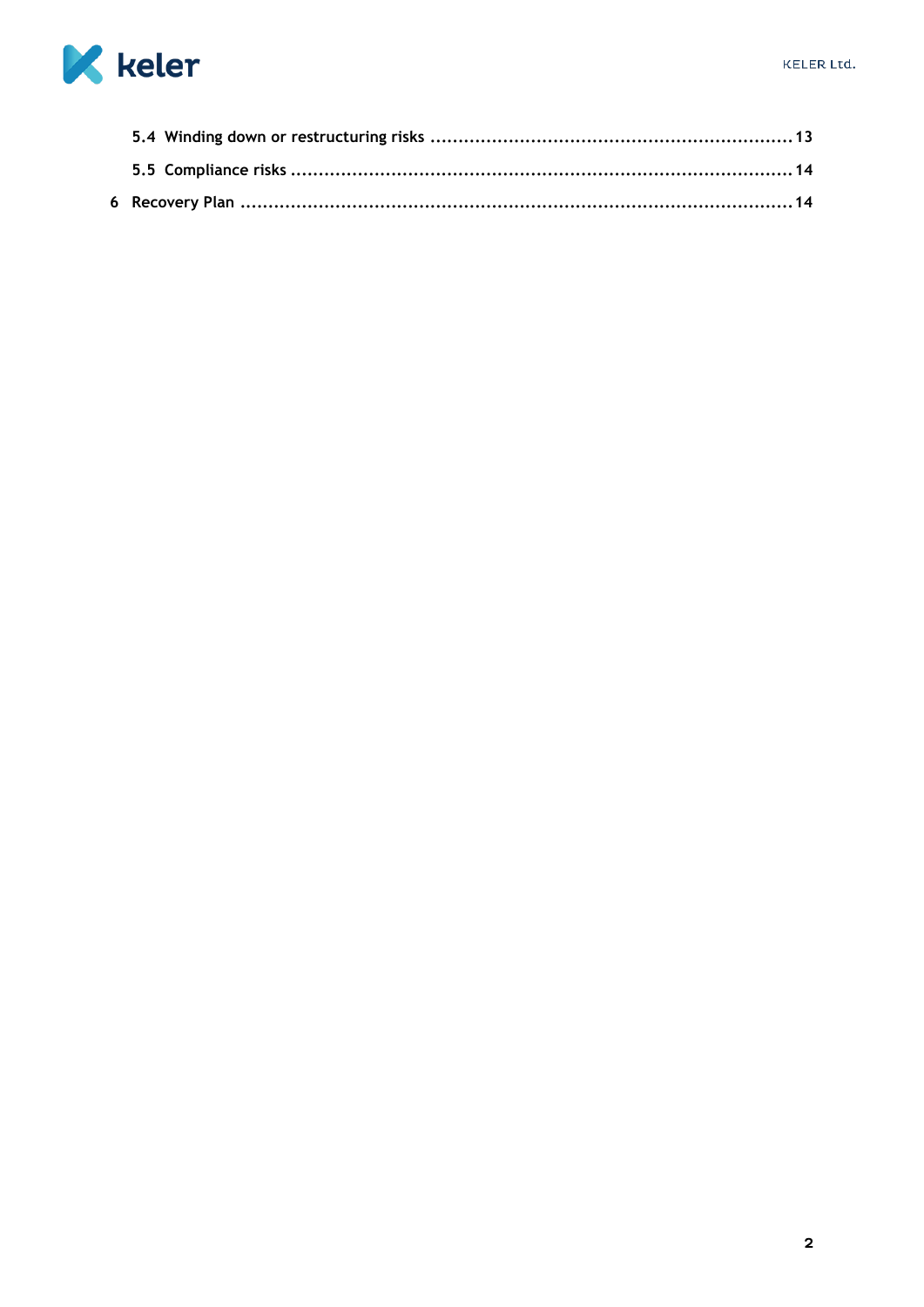

<span id="page-2-0"></span>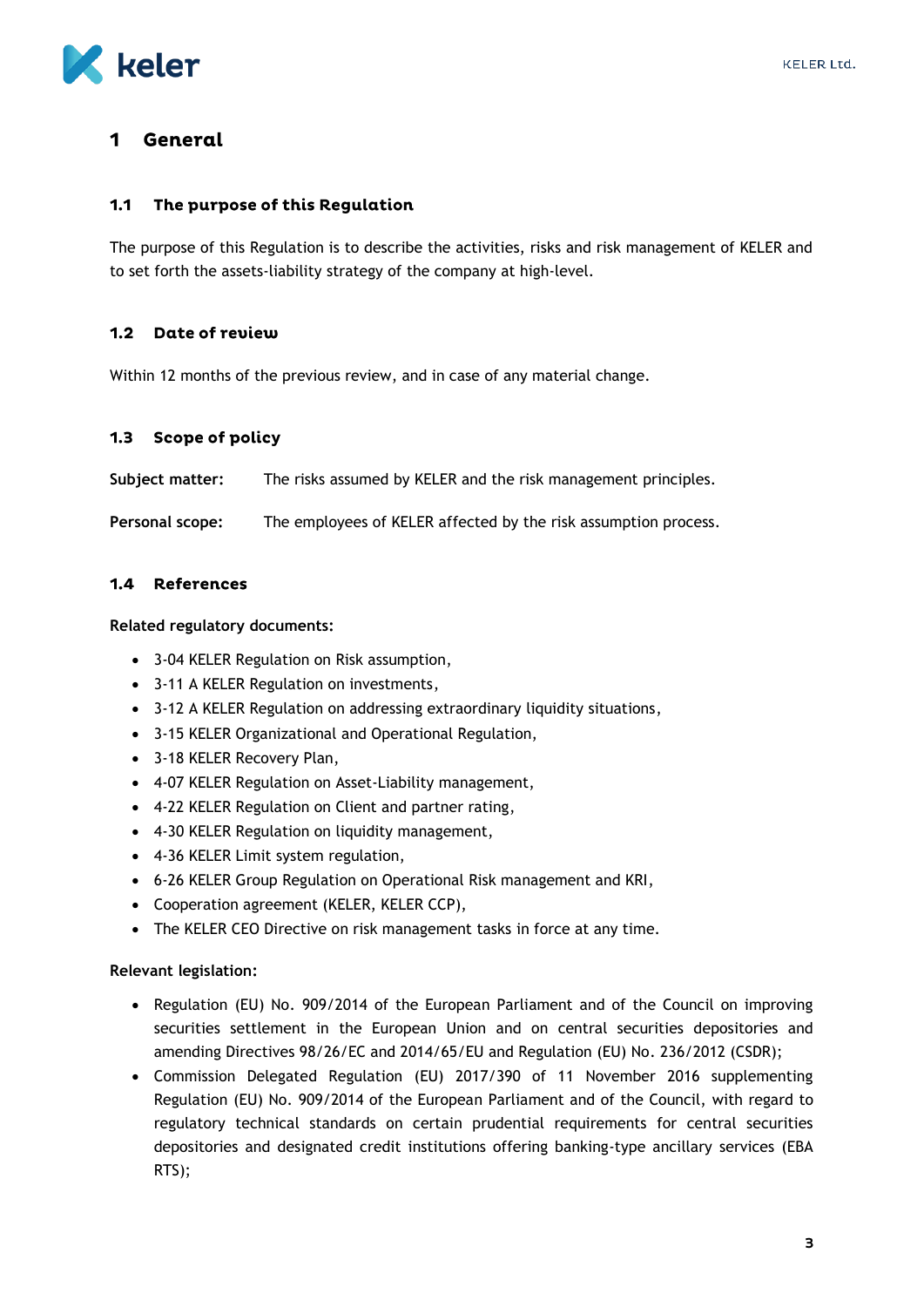

#### 1 General

#### <span id="page-3-0"></span> $1.1$ The purpose of this Regulation

The purpose of this Regulation is to describe the activities, risks and risk management of KELER and to set forth the assets-liability strategy of the company at high-level.

#### <span id="page-3-1"></span> $1.2$ Date of review

Within 12 months of the previous review, and in case of any material change.

#### <span id="page-3-2"></span> $1.3$ Scope of policy

**Subject matter:** The risks assumed by KELER and the risk management principles.

**Personal scope:** The employees of KELER affected by the risk assumption process.

#### <span id="page-3-3"></span>1.4 References

**Related regulatory documents:**

- 3-04 KELER Regulation on Risk assumption,
- 3-11 A KELER Regulation on investments,
- 3-12 A KELER Regulation on addressing extraordinary liquidity situations,
- 3-15 KELER Organizational and Operational Regulation,
- 3-18 KELER Recovery Plan,
- 4-07 KELER Regulation on Asset-Liability management,
- 4-22 KELER Regulation on Client and partner rating,
- 4-30 KELER Regulation on liquidity management,
- 4-36 KELER Limit system regulation,
- 6-26 KELER Group Regulation on Operational Risk management and KRI,
- Cooperation agreement (KELER, KELER CCP),
- The KELER CEO Directive on risk management tasks in force at any time.

#### **Relevant legislation:**

- Regulation (EU) No. 909/2014 of the European Parliament and of the Council on improving securities settlement in the European Union and on central securities depositories and amending Directives 98/26/EC and 2014/65/EU and Regulation (EU) No. 236/2012 (CSDR);
- Commission Delegated Regulation (EU) 2017/390 of 11 November 2016 supplementing Regulation (EU) No. 909/2014 of the European Parliament and of the Council, with regard to regulatory technical standards on certain prudential requirements for central securities depositories and designated credit institutions offering banking-type ancillary services (EBA RTS);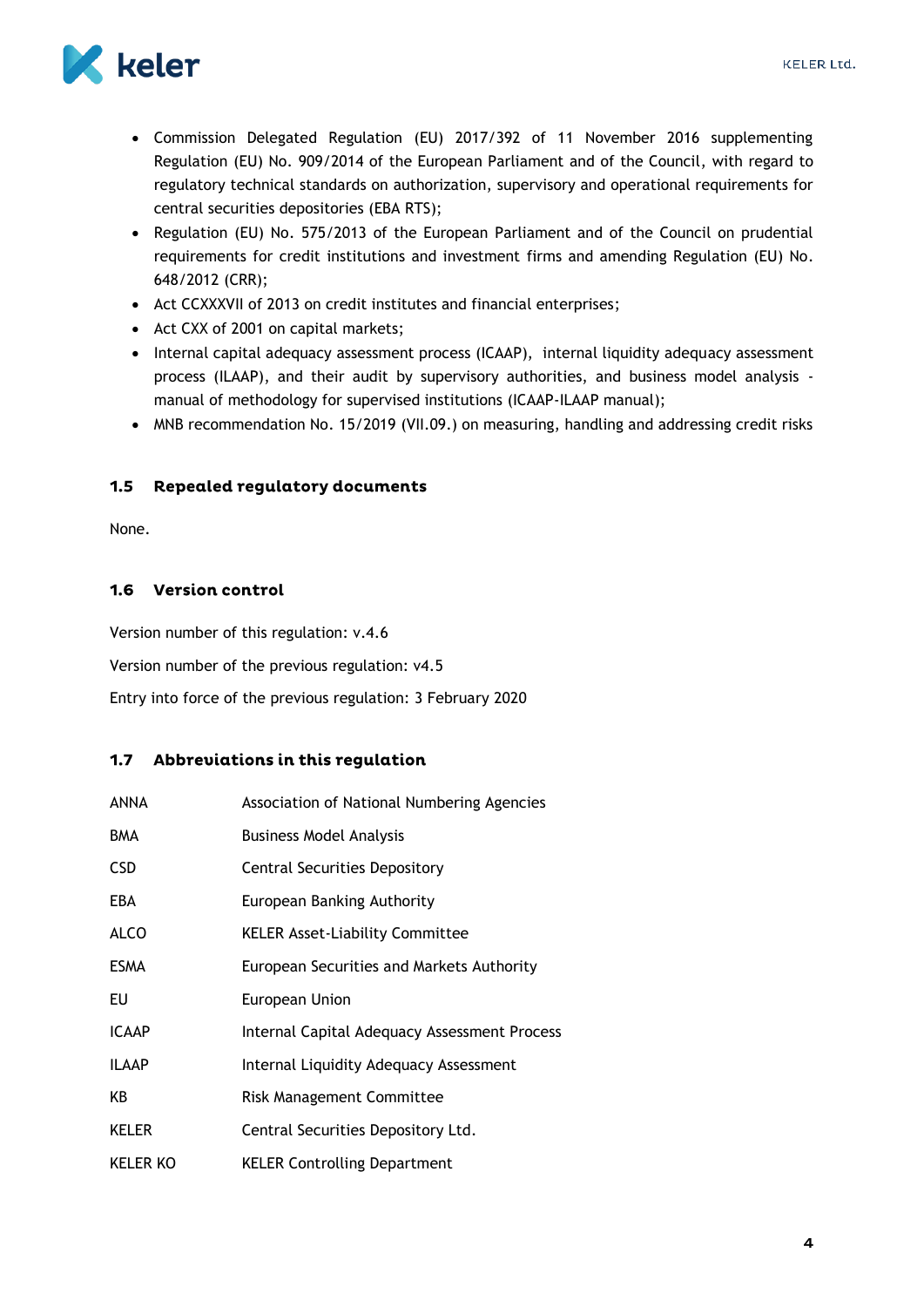

- Commission Delegated Regulation (EU) 2017/392 of 11 November 2016 supplementing Regulation (EU) No. 909/2014 of the European Parliament and of the Council, with regard to regulatory technical standards on authorization, supervisory and operational requirements for central securities depositories (EBA RTS);
- Regulation (EU) No. 575/2013 of the European Parliament and of the Council on prudential requirements for credit institutions and investment firms and amending Regulation (EU) No. 648/2012 (CRR);
- Act CCXXXVII of 2013 on credit institutes and financial enterprises;
- Act CXX of 2001 on capital markets;
- Internal capital adequacy assessment process (ICAAP), internal liquidity adequacy assessment process (ILAAP), and their audit by supervisory authorities, and business model analysis manual of methodology for supervised institutions (ICAAP-ILAAP manual);
- MNB recommendation No. 15/2019 (VII.09.) on measuring, handling and addressing credit risks

#### <span id="page-4-0"></span> $1.5$ **Repealed regulatory documents**

None.

### <span id="page-4-1"></span>1.6 Version control

Version number of this regulation: v.4.6

Version number of the previous regulation: v4.5

Entry into force of the previous regulation: 3 February 2020

### <span id="page-4-2"></span>1.7 Abbreviations in this regulation

| ANNA            | Association of National Numbering Agencies   |
|-----------------|----------------------------------------------|
| <b>BMA</b>      | <b>Business Model Analysis</b>               |
| <b>CSD</b>      | <b>Central Securities Depository</b>         |
| EBA             | European Banking Authority                   |
| <b>ALCO</b>     | <b>KELER Asset-Liability Committee</b>       |
| <b>ESMA</b>     | European Securities and Markets Authority    |
| EU              | European Union                               |
| <b>ICAAP</b>    | Internal Capital Adequacy Assessment Process |
| <b>ILAAP</b>    | Internal Liquidity Adequacy Assessment       |
| KB              | <b>Risk Management Committee</b>             |
| <b>KELER</b>    | Central Securities Depository Ltd.           |
| <b>KELER KO</b> | <b>KELER Controlling Department</b>          |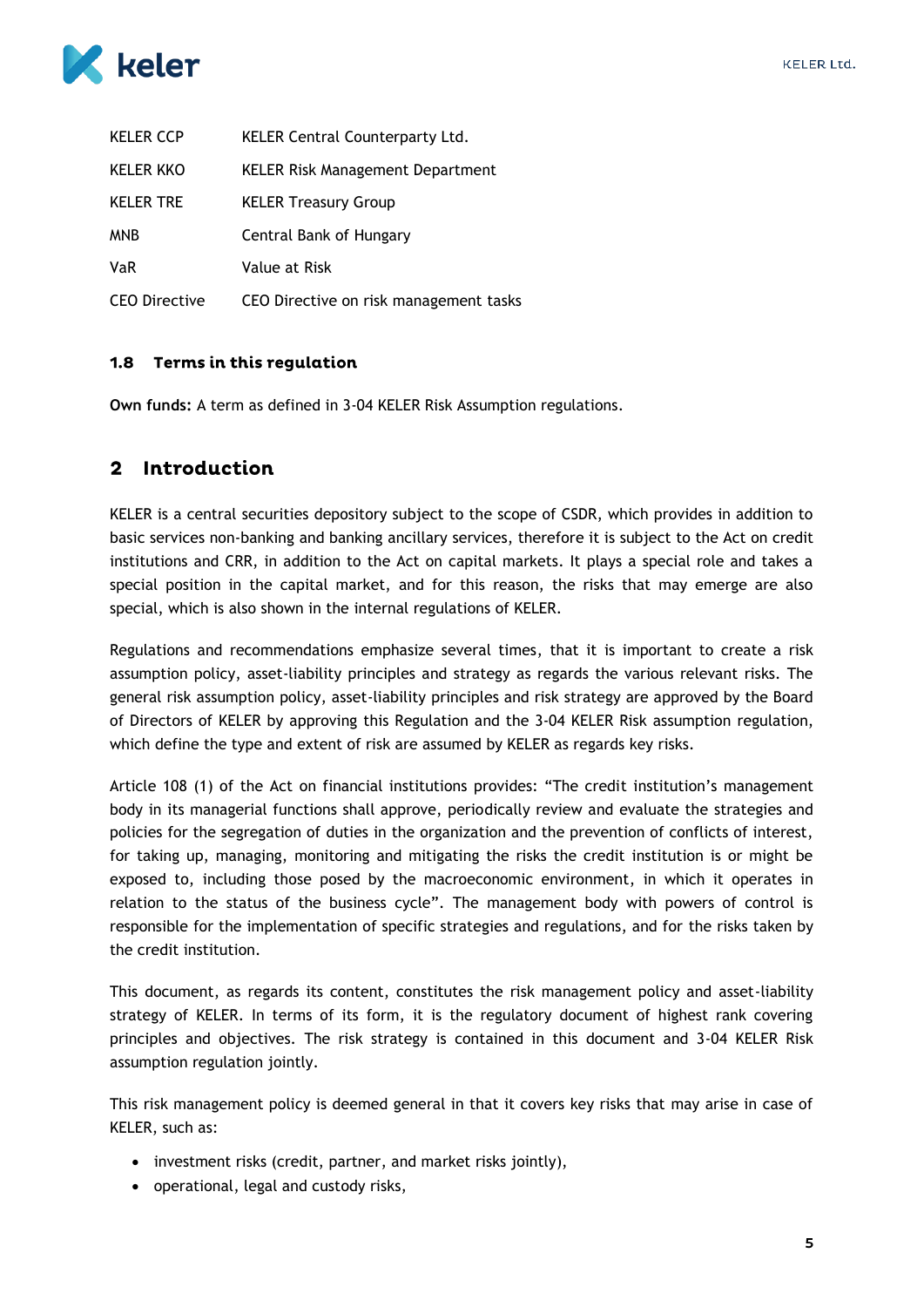

| <b>KELER CCP</b>     | <b>KELER Central Counterparty Ltd.</b>  |
|----------------------|-----------------------------------------|
| <b>KELER KKO</b>     | <b>KELER Risk Management Department</b> |
| <b>KELER TRE</b>     | <b>KELER Treasury Group</b>             |
| <b>MNB</b>           | Central Bank of Hungary                 |
| <b>VaR</b>           | Value at Risk                           |
| <b>CEO Directive</b> | CEO Directive on risk management tasks  |

### <span id="page-5-0"></span>1.8 Terms in this regulation

**Own funds:** A term as defined in 3-04 KELER Risk Assumption regulations.

### <span id="page-5-1"></span>2 Introduction

KELER is a central securities depository subject to the scope of CSDR, which provides in addition to basic services non-banking and banking ancillary services, therefore it is subject to the Act on credit institutions and CRR, in addition to the Act on capital markets. It plays a special role and takes a special position in the capital market, and for this reason, the risks that may emerge are also special, which is also shown in the internal regulations of KELER.

Regulations and recommendations emphasize several times, that it is important to create a risk assumption policy, asset-liability principles and strategy as regards the various relevant risks. The general risk assumption policy, asset-liability principles and risk strategy are approved by the Board of Directors of KELER by approving this Regulation and the 3-04 KELER Risk assumption regulation, which define the type and extent of risk are assumed by KELER as regards key risks.

Article 108 (1) of the Act on financial institutions provides: "The credit institution's management body in its managerial functions shall approve, periodically review and evaluate the strategies and policies for the segregation of duties in the organization and the prevention of conflicts of interest, for taking up, managing, monitoring and mitigating the risks the credit institution is or might be exposed to, including those posed by the macroeconomic environment, in which it operates in relation to the status of the business cycle". The management body with powers of control is responsible for the implementation of specific strategies and regulations, and for the risks taken by the credit institution.

This document, as regards its content, constitutes the risk management policy and asset-liability strategy of KELER. In terms of its form, it is the regulatory document of highest rank covering principles and objectives. The risk strategy is contained in this document and 3-04 KELER Risk assumption regulation jointly.

This risk management policy is deemed general in that it covers key risks that may arise in case of KELER, such as:

- investment risks (credit, partner, and market risks jointly),
- operational, legal and custody risks,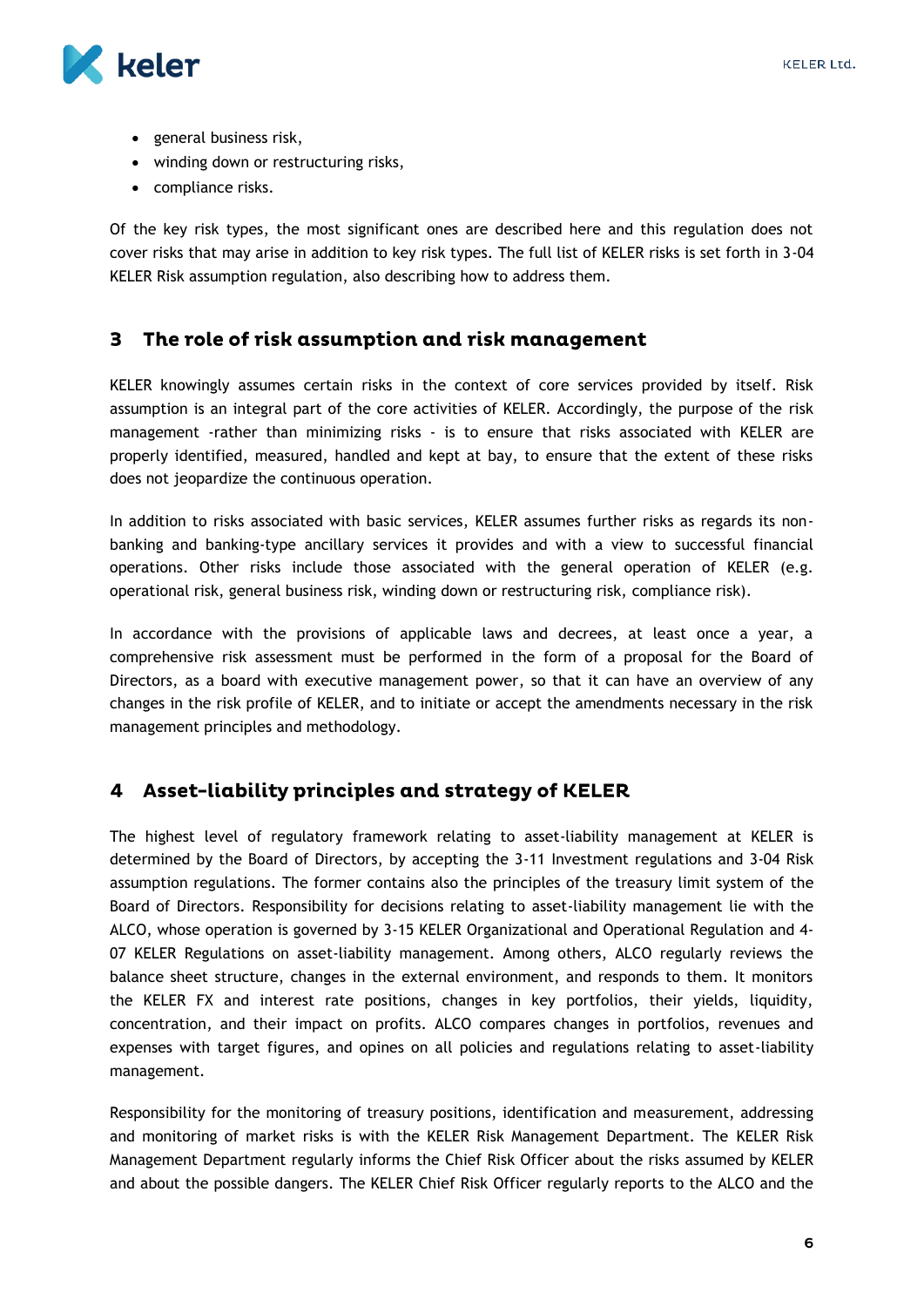

- general business risk,
- winding down or restructuring risks,
- compliance risks.

Of the key risk types, the most significant ones are described here and this regulation does not cover risks that may arise in addition to key risk types. The full list of KELER risks is set forth in 3-04 KELER Risk assumption regulation, also describing how to address them.

#### <span id="page-6-0"></span>The role of risk assumption and risk management 3

KELER knowingly assumes certain risks in the context of core services provided by itself. Risk assumption is an integral part of the core activities of KELER. Accordingly, the purpose of the risk management -rather than minimizing risks - is to ensure that risks associated with KELER are properly identified, measured, handled and kept at bay, to ensure that the extent of these risks does not jeopardize the continuous operation.

In addition to risks associated with basic services, KELER assumes further risks as regards its nonbanking and banking-type ancillary services it provides and with a view to successful financial operations. Other risks include those associated with the general operation of KELER (e.g. operational risk, general business risk, winding down or restructuring risk, compliance risk).

In accordance with the provisions of applicable laws and decrees, at least once a year, a comprehensive risk assessment must be performed in the form of a proposal for the Board of Directors, as a board with executive management power, so that it can have an overview of any changes in the risk profile of KELER, and to initiate or accept the amendments necessary in the risk management principles and methodology.

### <span id="page-6-1"></span>4 Asset-liability principles and strategy of KELER

The highest level of regulatory framework relating to asset-liability management at KELER is determined by the Board of Directors, by accepting the 3-11 Investment regulations and 3-04 Risk assumption regulations. The former contains also the principles of the treasury limit system of the Board of Directors. Responsibility for decisions relating to asset-liability management lie with the ALCO, whose operation is governed by 3-15 KELER Organizational and Operational Regulation and 4- 07 KELER Regulations on asset-liability management. Among others, ALCO regularly reviews the balance sheet structure, changes in the external environment, and responds to them. It monitors the KELER FX and interest rate positions, changes in key portfolios, their yields, liquidity, concentration, and their impact on profits. ALCO compares changes in portfolios, revenues and expenses with target figures, and opines on all policies and regulations relating to asset-liability management.

Responsibility for the monitoring of treasury positions, identification and measurement, addressing and monitoring of market risks is with the KELER Risk Management Department. The KELER Risk Management Department regularly informs the Chief Risk Officer about the risks assumed by KELER and about the possible dangers. The KELER Chief Risk Officer regularly reports to the ALCO and the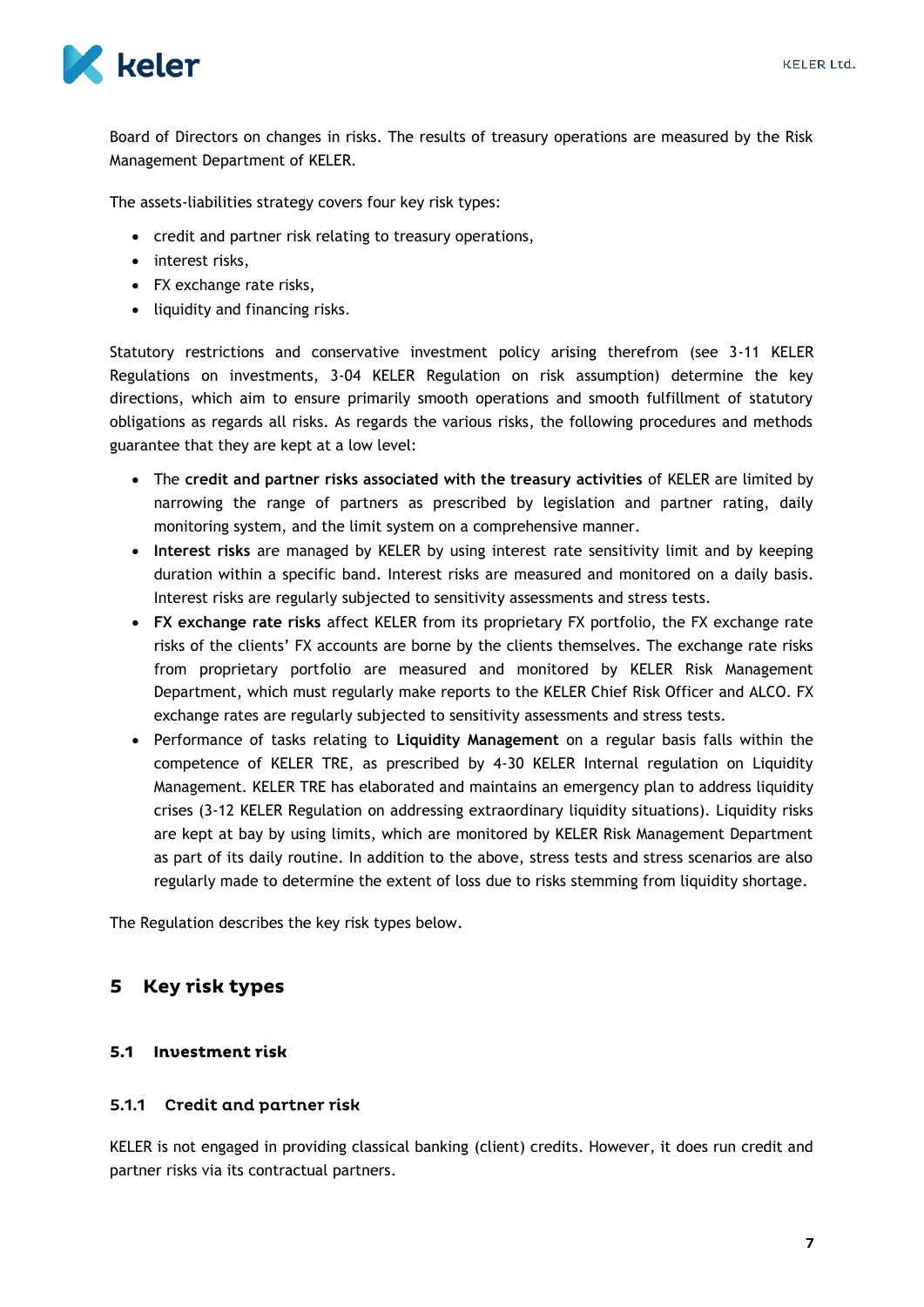

Board of Directors on changes in risks. The results of treasury operations are measured by the Risk Management Department of KELER.

The assets-liabilities strategy covers four key risk types:

- credit and partner risk relating to treasury operations,
- interest risks,
- FX exchange rate risks,
- liquidity and financing risks.

Statutory restrictions and conservative investment policy arising therefrom (see 3-11 KELER Regulations on investments, 3-04 KELER Regulation on risk assumption) determine the key directions, which aim to ensure primarily smooth operations and smooth fulfillment of statutory obligations as regards all risks. As regards the various risks, the following procedures and methods guarantee that they are kept at a low level:

- The **credit and partner risks associated with the treasury activities** of KELER are limited by narrowing the range of partners as prescribed by legislation and partner rating, daily monitoring system, and the limit system on a comprehensive manner.
- **Interest risks** are managed by KELER by using interest rate sensitivity limit and by keeping duration within a specific band. Interest risks are measured and monitored on a daily basis. Interest risks are regularly subjected to sensitivity assessments and stress tests.
- **FX exchange rate risks** affect KELER from its proprietary FX portfolio, the FX exchange rate risks of the clients' FX accounts are borne by the clients themselves. The exchange rate risks from proprietary portfolio are measured and monitored by KELER Risk Management Department, which must regularly make reports to the KELER Chief Risk Officer and ALCO. FX exchange rates are regularly subjected to sensitivity assessments and stress tests.
- Performance of tasks relating to **Liquidity Management** on a regular basis falls within the competence of KELER TRE, as prescribed by 4-30 KELER Internal regulation on Liquidity Management. KELER TRE has elaborated and maintains an emergency plan to address liquidity crises (3-12 KELER Regulation on addressing extraordinary liquidity situations). Liquidity risks are kept at bay by using limits, which are monitored by KELER Risk Management Department as part of its daily routine. In addition to the above, stress tests and stress scenarios are also regularly made to determine the extent of loss due to risks stemming from liquidity shortage.

The Regulation describes the key risk types below.

#### <span id="page-7-0"></span>Key risk types 5

### <span id="page-7-1"></span>5.1 Investment risk

#### <span id="page-7-2"></span>5.1.1 Credit and partner risk

KELER is not engaged in providing classical banking (client) credits. However, it does run credit and partner risks via its contractual partners.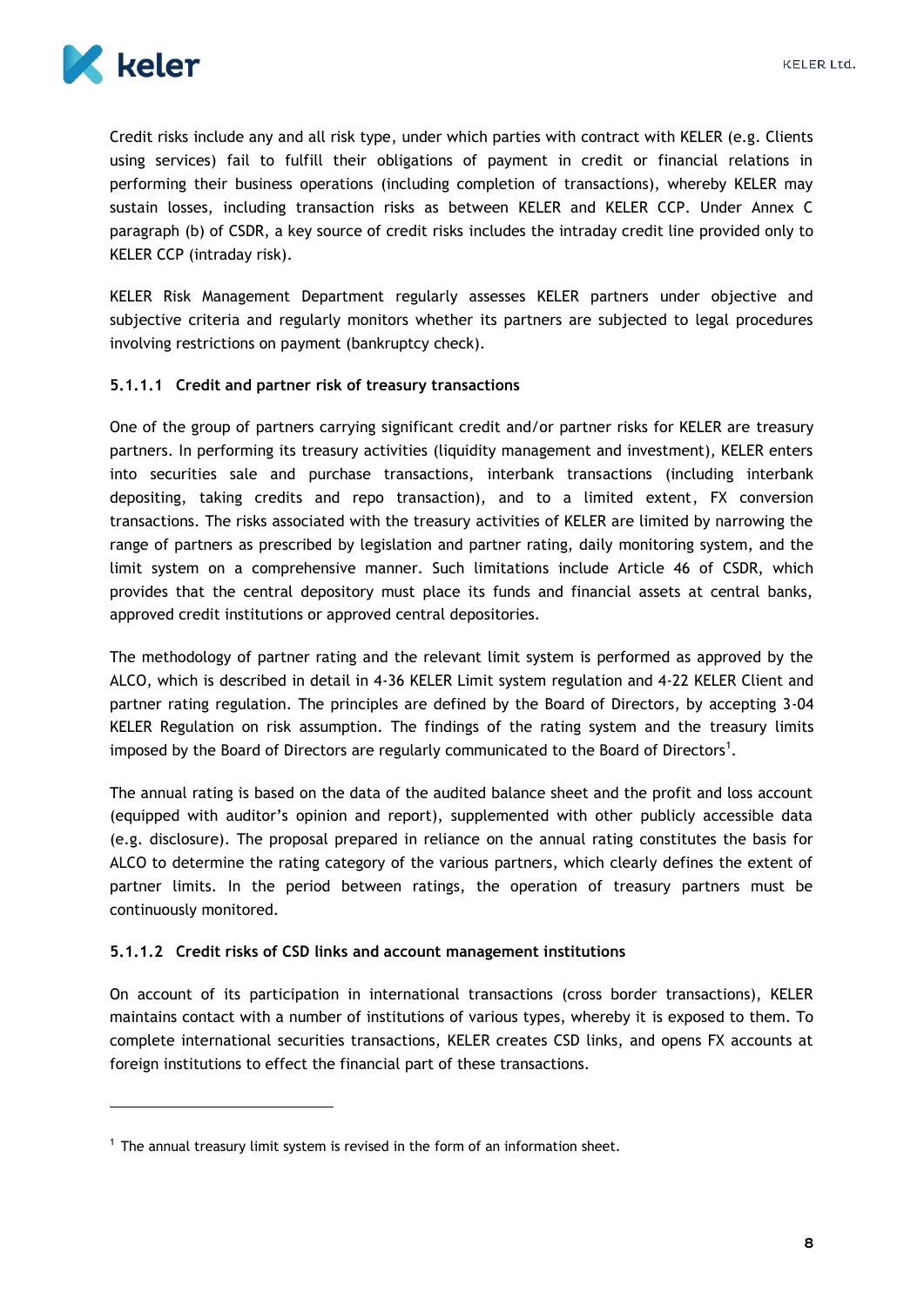

1

Credit risks include any and all risk type, under which parties with contract with KELER (e.g. Clients using services) fail to fulfill their obligations of payment in credit or financial relations in performing their business operations (including completion of transactions), whereby KELER may sustain losses, including transaction risks as between KELER and KELER CCP. Under Annex C paragraph (b) of CSDR, a key source of credit risks includes the intraday credit line provided only to KELER CCP (intraday risk).

KELER Risk Management Department regularly assesses KELER partners under objective and subjective criteria and regularly monitors whether its partners are subjected to legal procedures involving restrictions on payment (bankruptcy check).

#### <span id="page-8-0"></span>**5.1.1.1 Credit and partner risk of treasury transactions**

One of the group of partners carrying significant credit and/or partner risks for KELER are treasury partners. In performing its treasury activities (liquidity management and investment), KELER enters into securities sale and purchase transactions, interbank transactions (including interbank depositing, taking credits and repo transaction), and to a limited extent, FX conversion transactions. The risks associated with the treasury activities of KELER are limited by narrowing the range of partners as prescribed by legislation and partner rating, daily monitoring system, and the limit system on a comprehensive manner. Such limitations include Article 46 of CSDR, which provides that the central depository must place its funds and financial assets at central banks, approved credit institutions or approved central depositories.

The methodology of partner rating and the relevant limit system is performed as approved by the ALCO, which is described in detail in 4-36 KELER Limit system regulation and 4-22 KELER Client and partner rating regulation. The principles are defined by the Board of Directors, by accepting 3-04 KELER Regulation on risk assumption. The findings of the rating system and the treasury limits imposed by the Board of Directors are regularly communicated to the Board of Directors<sup>1</sup>.

The annual rating is based on the data of the audited balance sheet and the profit and loss account (equipped with auditor's opinion and report), supplemented with other publicly accessible data (e.g. disclosure). The proposal prepared in reliance on the annual rating constitutes the basis for ALCO to determine the rating category of the various partners, which clearly defines the extent of partner limits. In the period between ratings, the operation of treasury partners must be continuously monitored.

#### <span id="page-8-1"></span>**5.1.1.2 Credit risks of CSD links and account management institutions**

On account of its participation in international transactions (cross border transactions), KELER maintains contact with a number of institutions of various types, whereby it is exposed to them. To complete international securities transactions, KELER creates CSD links, and opens FX accounts at foreign institutions to effect the financial part of these transactions.

 $<sup>1</sup>$  The annual treasury limit system is revised in the form of an information sheet.</sup>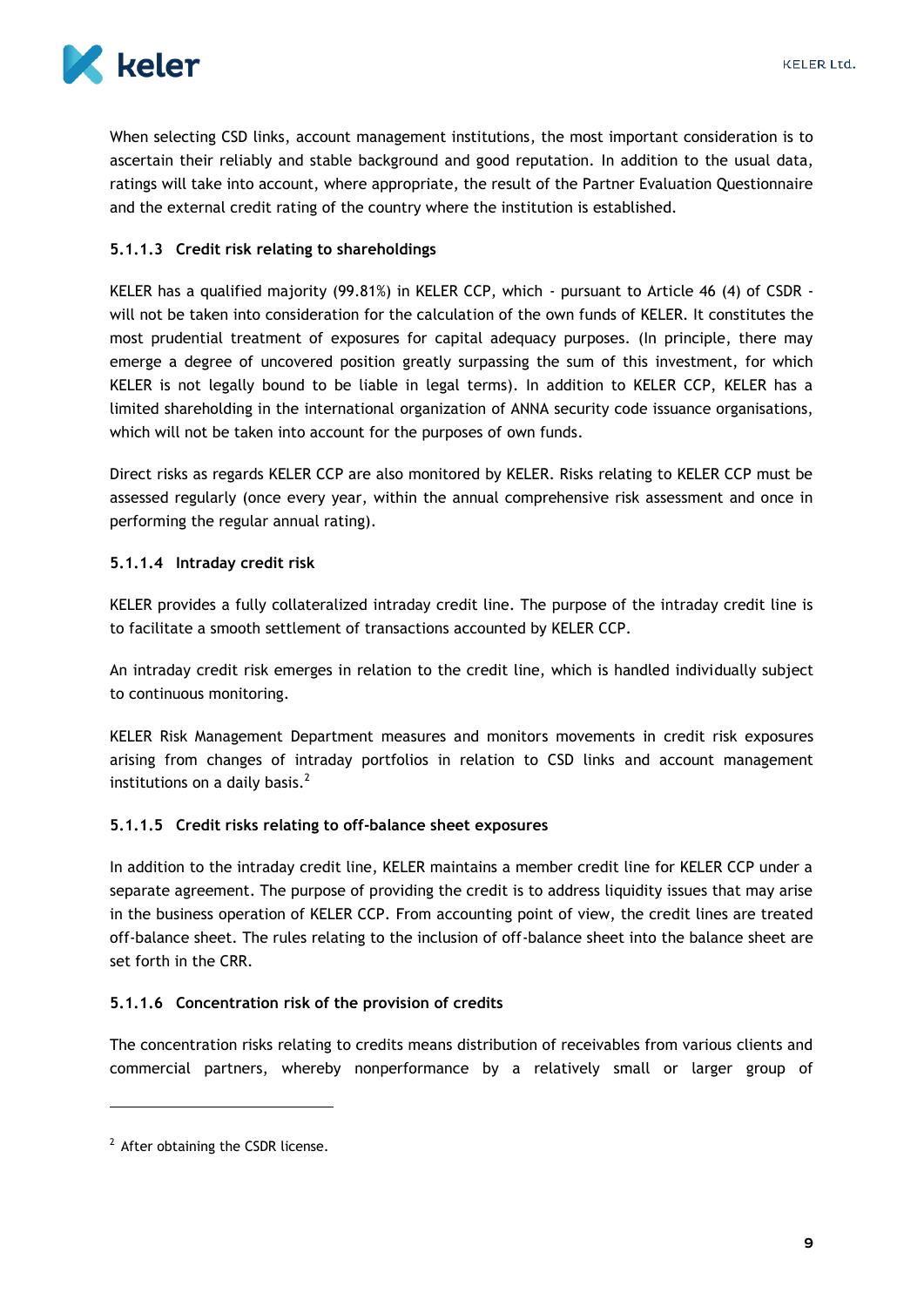

When selecting CSD links, account management institutions, the most important consideration is to ascertain their reliably and stable background and good reputation. In addition to the usual data, ratings will take into account, where appropriate, the result of the Partner Evaluation Questionnaire and the external credit rating of the country where the institution is established.

### <span id="page-9-0"></span>**5.1.1.3 Credit risk relating to shareholdings**

KELER has a qualified majority (99.81%) in KELER CCP, which - pursuant to Article 46 (4) of CSDR will not be taken into consideration for the calculation of the own funds of KELER. It constitutes the most prudential treatment of exposures for capital adequacy purposes. (In principle, there may emerge a degree of uncovered position greatly surpassing the sum of this investment, for which KELER is not legally bound to be liable in legal terms). In addition to KELER CCP, KELER has a limited shareholding in the international organization of ANNA security code issuance organisations, which will not be taken into account for the purposes of own funds.

Direct risks as regards KELER CCP are also monitored by KELER. Risks relating to KELER CCP must be assessed regularly (once every year, within the annual comprehensive risk assessment and once in performing the regular annual rating).

#### <span id="page-9-1"></span>**5.1.1.4 Intraday credit risk**

KELER provides a fully collateralized intraday credit line. The purpose of the intraday credit line is to facilitate a smooth settlement of transactions accounted by KELER CCP.

An intraday credit risk emerges in relation to the credit line, which is handled individually subject to continuous monitoring.

KELER Risk Management Department measures and monitors movements in credit risk exposures arising from changes of intraday portfolios in relation to CSD links and account management institutions on a daily basis. $<sup>2</sup>$ </sup>

#### <span id="page-9-2"></span>**5.1.1.5 Credit risks relating to off-balance sheet exposures**

In addition to the intraday credit line, KELER maintains a member credit line for KELER CCP under a separate agreement. The purpose of providing the credit is to address liquidity issues that may arise in the business operation of KELER CCP. From accounting point of view, the credit lines are treated off-balance sheet. The rules relating to the inclusion of off-balance sheet into the balance sheet are set forth in the CRR.

### <span id="page-9-3"></span>**5.1.1.6 Concentration risk of the provision of credits**

The concentration risks relating to credits means distribution of receivables from various clients and commercial partners, whereby nonperformance by a relatively small or larger group of

1

<sup>&</sup>lt;sup>2</sup> After obtaining the CSDR license.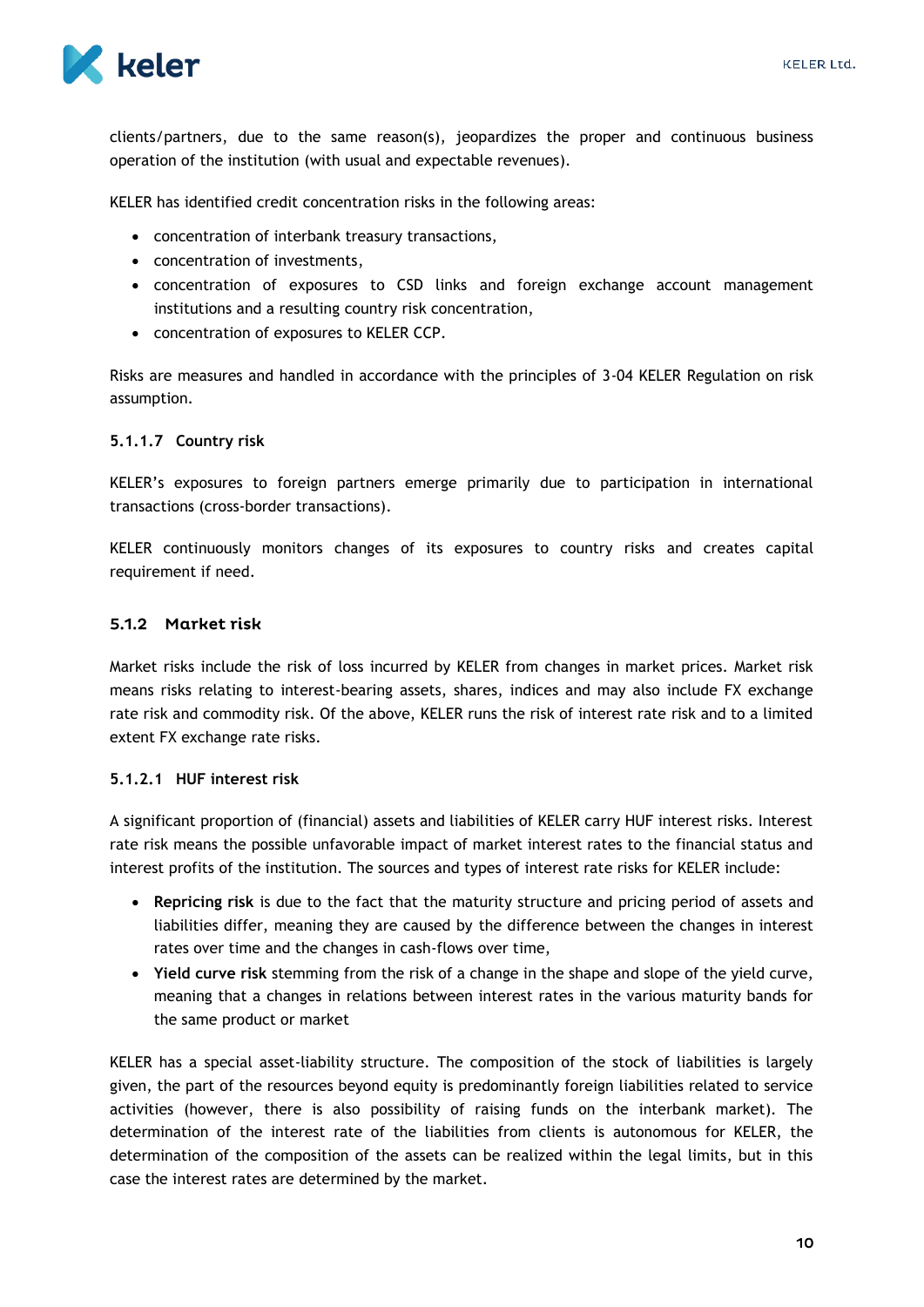

clients/partners, due to the same reason(s), jeopardizes the proper and continuous business operation of the institution (with usual and expectable revenues).

KELER has identified credit concentration risks in the following areas:

- concentration of interbank treasury transactions,
- concentration of investments,
- concentration of exposures to CSD links and foreign exchange account management institutions and a resulting country risk concentration,
- concentration of exposures to KELER CCP.

Risks are measures and handled in accordance with the principles of 3-04 KELER Regulation on risk assumption.

#### <span id="page-10-0"></span>**5.1.1.7 Country risk**

KELER's exposures to foreign partners emerge primarily due to participation in international transactions (cross-border transactions).

KELER continuously monitors changes of its exposures to country risks and creates capital requirement if need.

#### <span id="page-10-1"></span>5.1.2 Market risk

Market risks include the risk of loss incurred by KELER from changes in market prices. Market risk means risks relating to interest-bearing assets, shares, indices and may also include FX exchange rate risk and commodity risk. Of the above, KELER runs the risk of interest rate risk and to a limited extent FX exchange rate risks.

#### <span id="page-10-2"></span>**5.1.2.1 HUF interest risk**

A significant proportion of (financial) assets and liabilities of KELER carry HUF interest risks. Interest rate risk means the possible unfavorable impact of market interest rates to the financial status and interest profits of the institution. The sources and types of interest rate risks for KELER include:

- **Repricing risk** is due to the fact that the maturity structure and pricing period of assets and liabilities differ, meaning they are caused by the difference between the changes in interest rates over time and the changes in cash-flows over time,
- **Yield curve risk** stemming from the risk of a change in the shape and slope of the yield curve, meaning that a changes in relations between interest rates in the various maturity bands for the same product or market

KELER has a special asset-liability structure. The composition of the stock of liabilities is largely given, the part of the resources beyond equity is predominantly foreign liabilities related to service activities (however, there is also possibility of raising funds on the interbank market). The determination of the interest rate of the liabilities from clients is autonomous for KELER, the determination of the composition of the assets can be realized within the legal limits, but in this case the interest rates are determined by the market.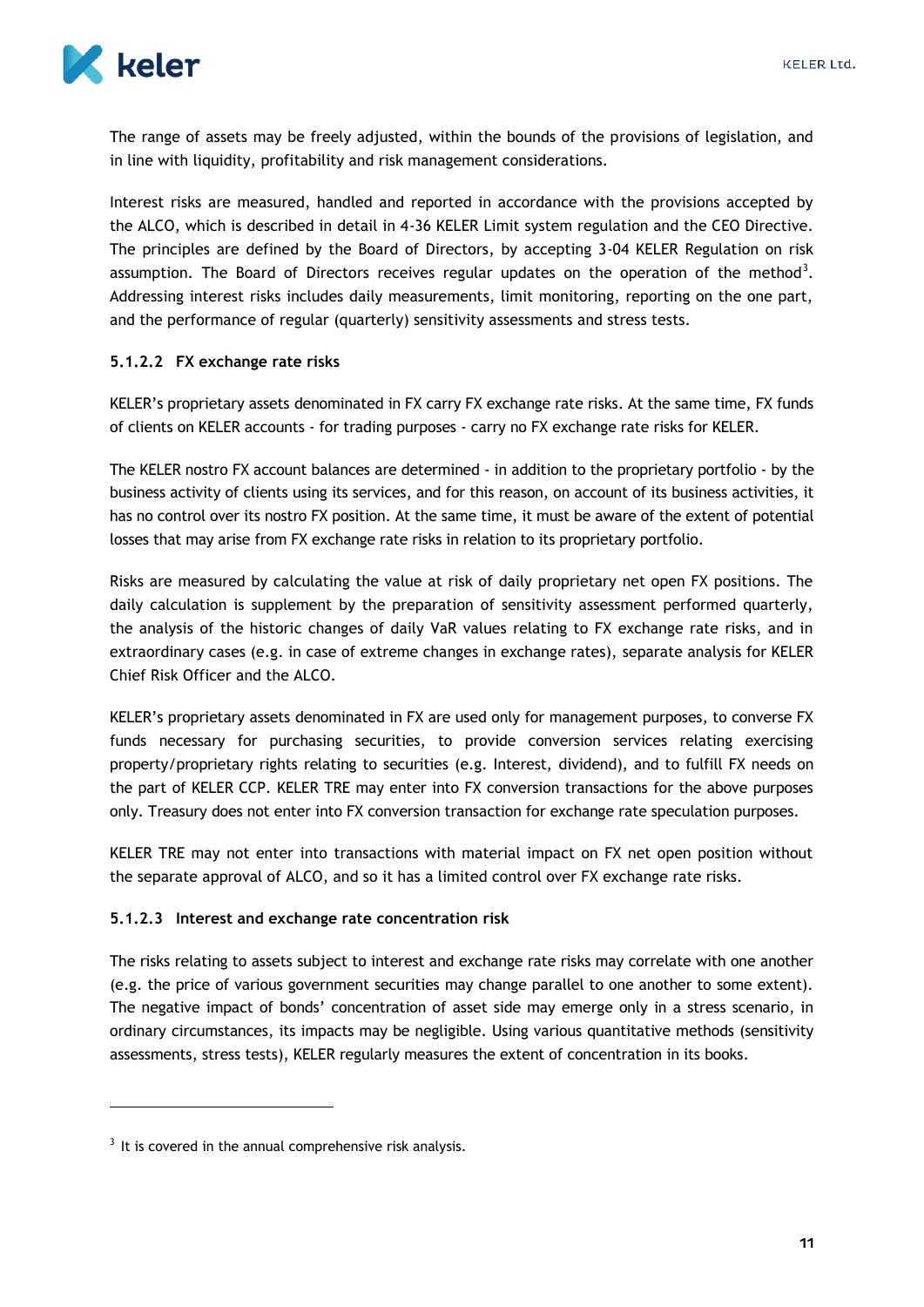

The range of assets may be freely adjusted, within the bounds of the provisions of legislation, and in line with liquidity, profitability and risk management considerations.

Interest risks are measured, handled and reported in accordance with the provisions accepted by the ALCO, which is described in detail in 4-36 KELER Limit system regulation and the CEO Directive. The principles are defined by the Board of Directors, by accepting 3-04 KELER Regulation on risk assumption. The Board of Directors receives regular updates on the operation of the method<sup>3</sup>. Addressing interest risks includes daily measurements, limit monitoring, reporting on the one part, and the performance of regular (quarterly) sensitivity assessments and stress tests.

#### <span id="page-11-0"></span>**5.1.2.2 FX exchange rate risks**

KELER's proprietary assets denominated in FX carry FX exchange rate risks. At the same time, FX funds of clients on KELER accounts - for trading purposes - carry no FX exchange rate risks for KELER.

The KELER nostro FX account balances are determined - in addition to the proprietary portfolio - by the business activity of clients using its services, and for this reason, on account of its business activities, it has no control over its nostro FX position. At the same time, it must be aware of the extent of potential losses that may arise from FX exchange rate risks in relation to its proprietary portfolio.

Risks are measured by calculating the value at risk of daily proprietary net open FX positions. The daily calculation is supplement by the preparation of sensitivity assessment performed quarterly, the analysis of the historic changes of daily VaR values relating to FX exchange rate risks, and in extraordinary cases (e.g. in case of extreme changes in exchange rates), separate analysis for KELER Chief Risk Officer and the ALCO.

KELER's proprietary assets denominated in FX are used only for management purposes, to converse FX funds necessary for purchasing securities, to provide conversion services relating exercising property/proprietary rights relating to securities (e.g. Interest, dividend), and to fulfill FX needs on the part of KELER CCP. KELER TRE may enter into FX conversion transactions for the above purposes only. Treasury does not enter into FX conversion transaction for exchange rate speculation purposes.

KELER TRE may not enter into transactions with material impact on FX net open position without the separate approval of ALCO, and so it has a limited control over FX exchange rate risks.

#### <span id="page-11-1"></span>**5.1.2.3 Interest and exchange rate concentration risk**

The risks relating to assets subject to interest and exchange rate risks may correlate with one another (e.g. the price of various government securities may change parallel to one another to some extent). The negative impact of bonds' concentration of asset side may emerge only in a stress scenario, in ordinary circumstances, its impacts may be negligible. Using various quantitative methods (sensitivity assessments, stress tests), KELER regularly measures the extent of concentration in its books.

1

 $3$  It is covered in the annual comprehensive risk analysis.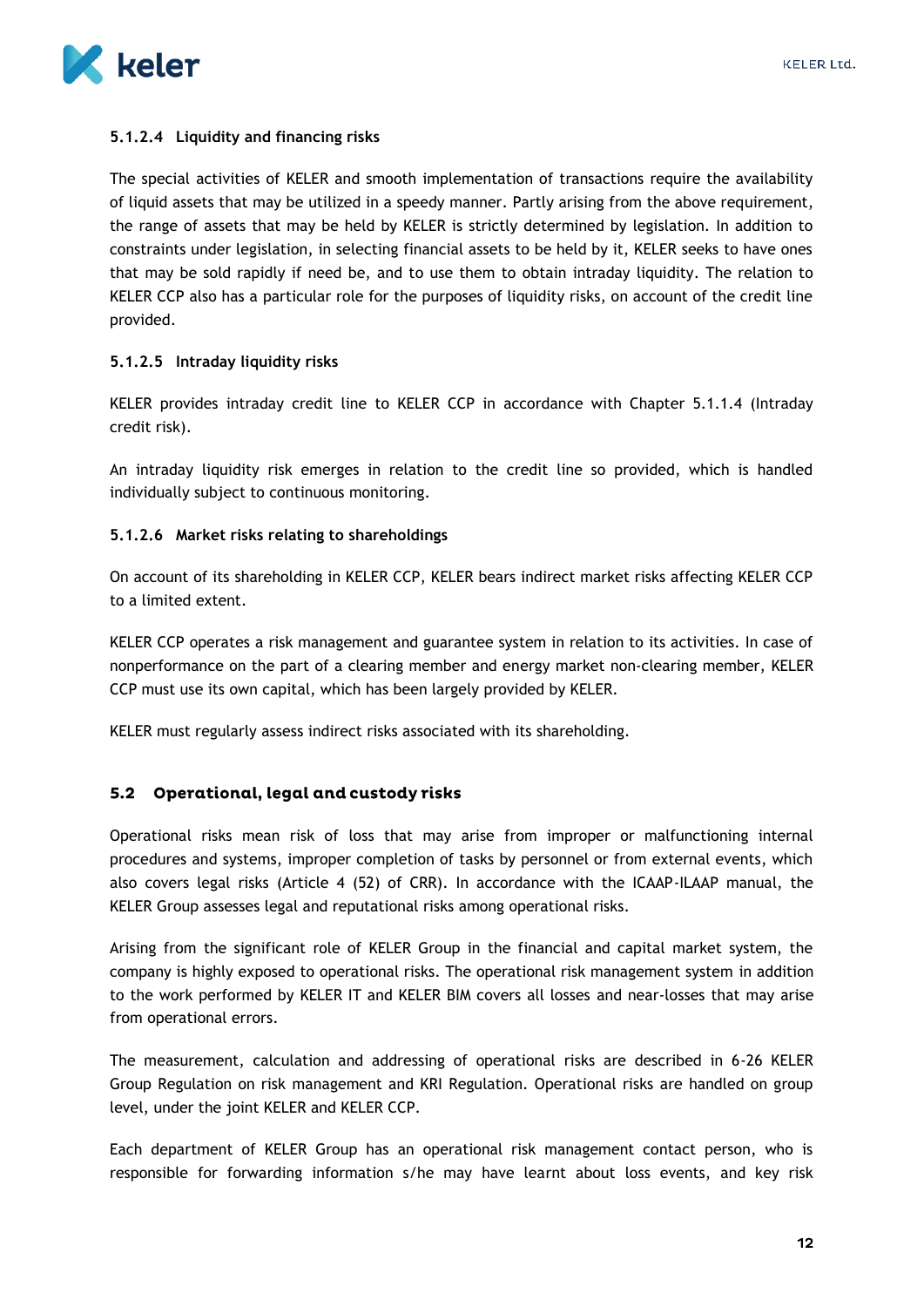

#### <span id="page-12-0"></span>**5.1.2.4 Liquidity and financing risks**

The special activities of KELER and smooth implementation of transactions require the availability of liquid assets that may be utilized in a speedy manner. Partly arising from the above requirement, the range of assets that may be held by KELER is strictly determined by legislation. In addition to constraints under legislation, in selecting financial assets to be held by it, KELER seeks to have ones that may be sold rapidly if need be, and to use them to obtain intraday liquidity. The relation to KELER CCP also has a particular role for the purposes of liquidity risks, on account of the credit line provided.

#### <span id="page-12-1"></span>**5.1.2.5 Intraday liquidity risks**

KELER provides intraday credit line to KELER CCP in accordance with Chapter 5.1.1.4 (Intraday credit risk).

An intraday liquidity risk emerges in relation to the credit line so provided, which is handled individually subject to continuous monitoring.

#### <span id="page-12-2"></span>**5.1.2.6 Market risks relating to shareholdings**

On account of its shareholding in KELER CCP, KELER bears indirect market risks affecting KELER CCP to a limited extent.

KELER CCP operates a risk management and guarantee system in relation to its activities. In case of nonperformance on the part of a clearing member and energy market non-clearing member, KELER CCP must use its own capital, which has been largely provided by KELER.

KELER must regularly assess indirect risks associated with its shareholding.

#### <span id="page-12-3"></span>5.2 Operational, legal and custody risks

Operational risks mean risk of loss that may arise from improper or malfunctioning internal procedures and systems, improper completion of tasks by personnel or from external events, which also covers legal risks (Article 4 (52) of CRR). In accordance with the ICAAP-ILAAP manual, the KELER Group assesses legal and reputational risks among operational risks.

Arising from the significant role of KELER Group in the financial and capital market system, the company is highly exposed to operational risks. The operational risk management system in addition to the work performed by KELER IT and KELER BIM covers all losses and near-losses that may arise from operational errors.

The measurement, calculation and addressing of operational risks are described in 6-26 KELER Group Regulation on risk management and KRI Regulation. Operational risks are handled on group level, under the joint KELER and KELER CCP.

Each department of KELER Group has an operational risk management contact person, who is responsible for forwarding information s/he may have learnt about loss events, and key risk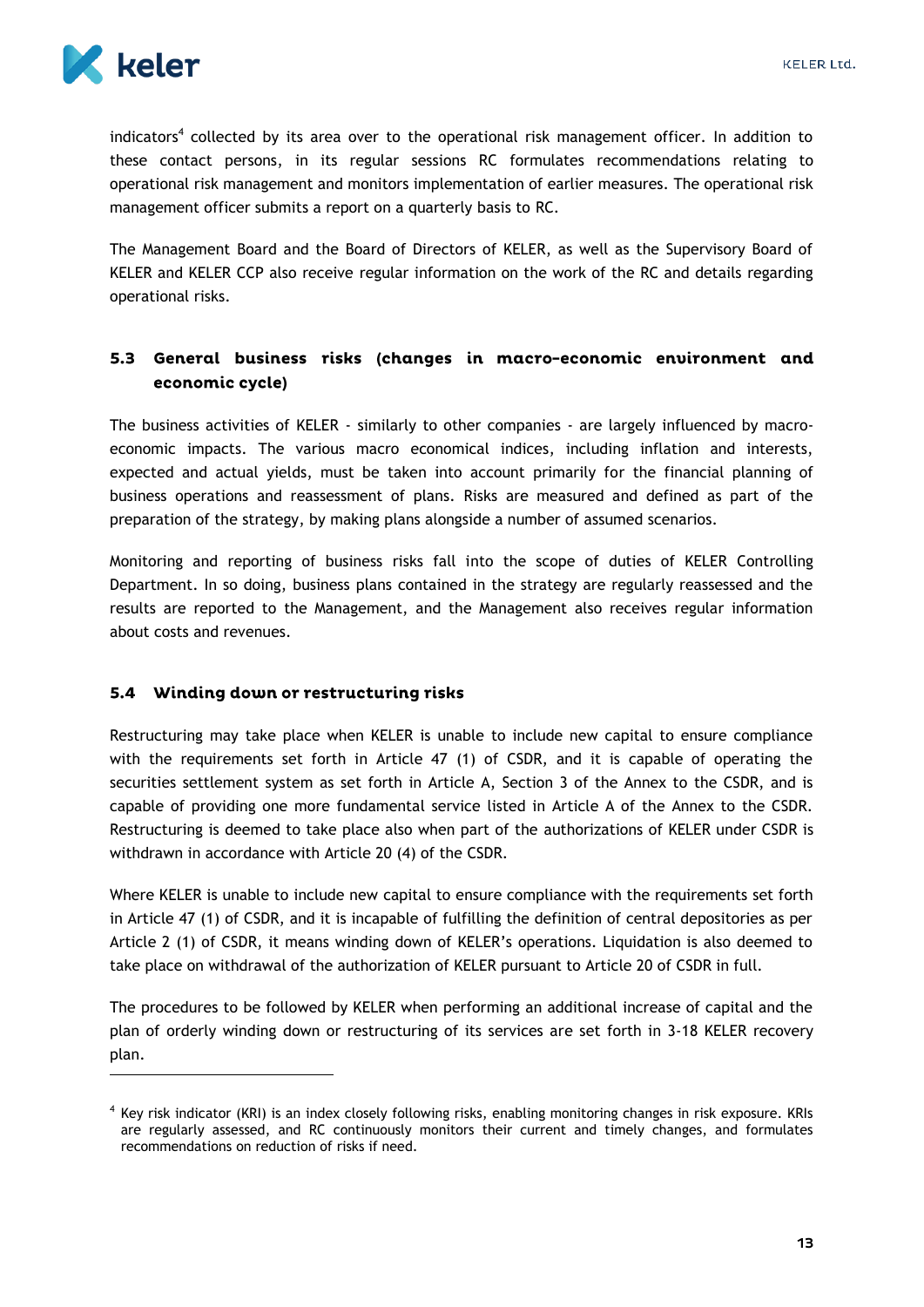

 $\overline{a}$ 

indicators<sup>4</sup> collected by its area over to the operational risk management officer. In addition to these contact persons, in its regular sessions RC formulates recommendations relating to operational risk management and monitors implementation of earlier measures. The operational risk management officer submits a report on a quarterly basis to RC.

The Management Board and the Board of Directors of KELER, as well as the Supervisory Board of KELER and KELER CCP also receive regular information on the work of the RC and details regarding operational risks.

### <span id="page-13-0"></span>5.3 General business risks (changes in macro-economic environment and economic cycle)

The business activities of KELER - similarly to other companies - are largely influenced by macroeconomic impacts. The various macro economical indices, including inflation and interests, expected and actual yields, must be taken into account primarily for the financial planning of business operations and reassessment of plans. Risks are measured and defined as part of the preparation of the strategy, by making plans alongside a number of assumed scenarios.

Monitoring and reporting of business risks fall into the scope of duties of KELER Controlling Department. In so doing, business plans contained in the strategy are regularly reassessed and the results are reported to the Management, and the Management also receives regular information about costs and revenues.

### <span id="page-13-1"></span>5.4 Winding down or restructuring risks

Restructuring may take place when KELER is unable to include new capital to ensure compliance with the requirements set forth in Article 47 (1) of CSDR, and it is capable of operating the securities settlement system as set forth in Article A, Section 3 of the Annex to the CSDR, and is capable of providing one more fundamental service listed in Article A of the Annex to the CSDR. Restructuring is deemed to take place also when part of the authorizations of KELER under CSDR is withdrawn in accordance with Article 20 (4) of the CSDR.

Where KELER is unable to include new capital to ensure compliance with the requirements set forth in Article 47 (1) of CSDR, and it is incapable of fulfilling the definition of central depositories as per Article 2 (1) of CSDR, it means winding down of KELER's operations. Liquidation is also deemed to take place on withdrawal of the authorization of KELER pursuant to Article 20 of CSDR in full.

The procedures to be followed by KELER when performing an additional increase of capital and the plan of orderly winding down or restructuring of its services are set forth in 3-18 KELER recovery plan.

<sup>4</sup> Key risk indicator (KRI) is an index closely following risks, enabling monitoring changes in risk exposure. KRIs are regularly assessed, and RC continuously monitors their current and timely changes, and formulates recommendations on reduction of risks if need.